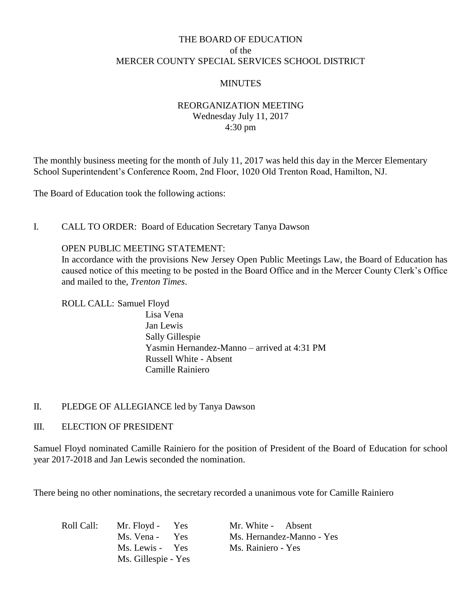# THE BOARD OF EDUCATION of the MERCER COUNTY SPECIAL SERVICES SCHOOL DISTRICT

# **MINUTES**

# REORGANIZATION MEETING Wednesday July 11, 2017 4:30 pm

The monthly business meeting for the month of July 11, 2017 was held this day in the Mercer Elementary School Superintendent's Conference Room, 2nd Floor, 1020 Old Trenton Road, Hamilton, NJ.

The Board of Education took the following actions:

# I. CALL TO ORDER: Board of Education Secretary Tanya Dawson

OPEN PUBLIC MEETING STATEMENT:

In accordance with the provisions New Jersey Open Public Meetings Law, the Board of Education has caused notice of this meeting to be posted in the Board Office and in the Mercer County Clerk's Office and mailed to the, *Trenton Times*.

ROLL CALL: Samuel Floyd

Lisa Vena Jan Lewis Sally Gillespie Yasmin Hernandez-Manno – arrived at 4:31 PM Russell White - Absent Camille Rainiero

### II. PLEDGE OF ALLEGIANCE led by Tanya Dawson

### III. ELECTION OF PRESIDENT

Samuel Floyd nominated Camille Rainiero for the position of President of the Board of Education for school year 2017-2018 and Jan Lewis seconded the nomination.

There being no other nominations, the secretary recorded a unanimous vote for Camille Rainiero

| Roll Call: | Mr. Floyd - Yes     | Mr. White - Absent        |
|------------|---------------------|---------------------------|
|            | Ms. Vena - Yes      | Ms. Hernandez-Manno - Yes |
|            | Ms. Lewis - Yes     | Ms. Rainiero - Yes        |
|            | Ms. Gillespie - Yes |                           |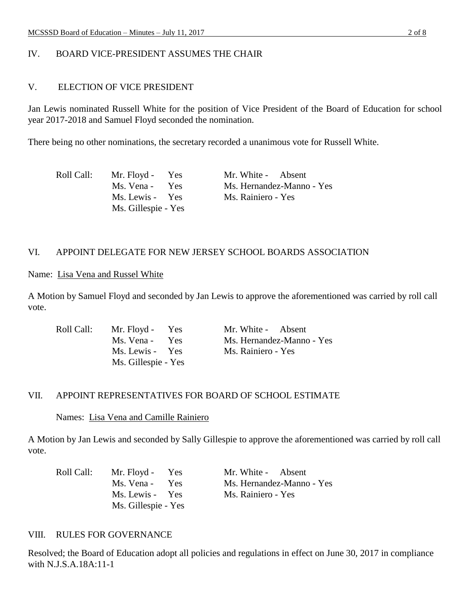# IV. BOARD VICE-PRESIDENT ASSUMES THE CHAIR

### V. ELECTION OF VICE PRESIDENT

Jan Lewis nominated Russell White for the position of Vice President of the Board of Education for school year 2017-2018 and Samuel Floyd seconded the nomination.

There being no other nominations, the secretary recorded a unanimous vote for Russell White.

| Roll Call: | Mr. Floyd - Yes     | Mr. White - Absent        |
|------------|---------------------|---------------------------|
|            | Ms. Vena - Yes      | Ms. Hernandez-Manno - Yes |
|            | Ms. Lewis - Yes     | Ms. Rainiero - Yes        |
|            | Ms. Gillespie - Yes |                           |

# VI. APPOINT DELEGATE FOR NEW JERSEY SCHOOL BOARDS ASSOCIATION

# Name: Lisa Vena and Russel White

A Motion by Samuel Floyd and seconded by Jan Lewis to approve the aforementioned was carried by roll call vote.

| Roll Call: | Mr. Floyd - Yes     | Mr. White - Absent        |
|------------|---------------------|---------------------------|
|            | Ms. Vena - Yes      | Ms. Hernandez-Manno - Yes |
|            | Ms. Lewis - Yes     | Ms. Rainiero - Yes        |
|            | Ms. Gillespie - Yes |                           |

### VII. APPOINT REPRESENTATIVES FOR BOARD OF SCHOOL ESTIMATE

#### Names: Lisa Vena and Camille Rainiero

A Motion by Jan Lewis and seconded by Sally Gillespie to approve the aforementioned was carried by roll call vote.

| Roll Call: | Mr. Floyd - Yes     | Mr. White - Absent        |
|------------|---------------------|---------------------------|
|            | Ms. Vena - Yes      | Ms. Hernandez-Manno - Yes |
|            | Ms. Lewis - Yes     | Ms. Rainiero - Yes        |
|            | Ms. Gillespie - Yes |                           |

### VIII. RULES FOR GOVERNANCE

Resolved; the Board of Education adopt all policies and regulations in effect on June 30, 2017 in compliance with N.J.S.A.18A:11-1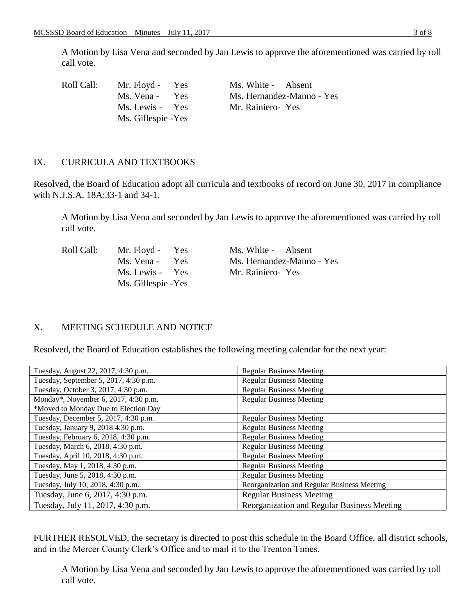A Motion by Lisa Vena and seconded by Jan Lewis to approve the aforementioned was carried by roll call vote.

| Roll Call: | Mr. Floyd - Yes          | Ms. White - Absent        |
|------------|--------------------------|---------------------------|
|            | Ms. Vena -<br><b>Yes</b> | Ms. Hernandez-Manno - Yes |
|            | Ms. Lewis - Yes          | Mr. Rainiero-Yes          |
|            | Ms. Gillespie - Yes      |                           |

### IX. CURRICULA AND TEXTBOOKS

Resolved, the Board of Education adopt all curricula and textbooks of record on June 30, 2017 in compliance with N.J.S.A. 18A:33-1 and 34-1.

A Motion by Lisa Vena and seconded by Jan Lewis to approve the aforementioned was carried by roll call vote.

| Roll Call: | Mr. Floyd - Yes     | Ms. White - Absent        |
|------------|---------------------|---------------------------|
|            | Ms. Vena - Yes      | Ms. Hernandez-Manno - Yes |
|            | Ms. Lewis - Yes     | Mr. Rainiero-Yes          |
|            | Ms. Gillespie - Yes |                           |

# X. MEETING SCHEDULE AND NOTICE

Resolved, the Board of Education establishes the following meeting calendar for the next year:

| Tuesday, August 22, 2017, 4:30 p.m.   | <b>Regular Business Meeting</b>             |
|---------------------------------------|---------------------------------------------|
| Tuesday, September 5, 2017, 4:30 p.m. | <b>Regular Business Meeting</b>             |
| Tuesday, October 3, 2017, 4:30 p.m.   | <b>Regular Business Meeting</b>             |
| Monday*, November 6, 2017, 4:30 p.m.  | <b>Regular Business Meeting</b>             |
| *Moved to Monday Due to Election Day  |                                             |
| Tuesday, December 5, 2017, 4:30 p.m.  | <b>Regular Business Meeting</b>             |
| Tuesday, January 9, 2018 4:30 p.m.    | <b>Regular Business Meeting</b>             |
| Tuesday, February 6, 2018, 4:30 p.m.  | <b>Regular Business Meeting</b>             |
| Tuesday, March 6, 2018, 4:30 p.m.     | <b>Regular Business Meeting</b>             |
| Tuesday, April 10, 2018, 4:30 p.m.    | <b>Regular Business Meeting</b>             |
| Tuesday, May 1, 2018, 4:30 p.m.       | <b>Regular Business Meeting</b>             |
| Tuesday, June 5, 2018, 4:30 p.m.      | <b>Regular Business Meeting</b>             |
| Tuesday, July 10, 2018, 4:30 p.m.     | Reorganization and Regular Business Meeting |
| Tuesday, June 6, 2017, 4:30 p.m.      | <b>Regular Business Meeting</b>             |
| Tuesday, July 11, 2017, 4:30 p.m.     | Reorganization and Regular Business Meeting |

FURTHER RESOLVED, the secretary is directed to post this schedule in the Board Office, all district schools, and in the Mercer County Clerk's Office and to mail it to the Trenton Times.

A Motion by Lisa Vena and seconded by Jan Lewis to approve the aforementioned was carried by roll call vote.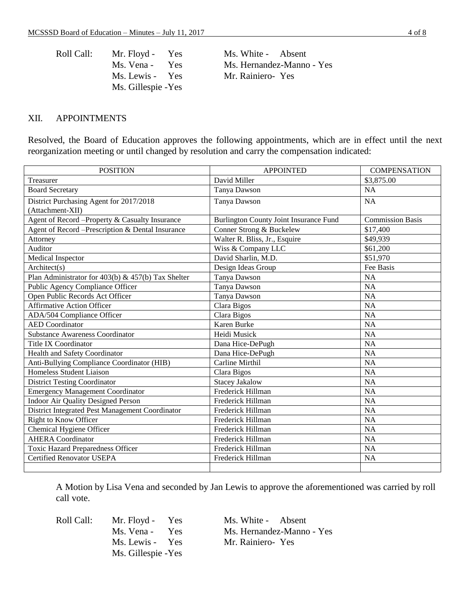| Roll Call: | Mr. Floyd - Yes     | Ms. White - Absent        |
|------------|---------------------|---------------------------|
|            | Ms. Vena - Yes      | Ms. Hernandez-Manno - Yes |
|            | Ms. Lewis - Yes     | Mr. Rainiero-Yes          |
|            | Ms. Gillespie - Yes |                           |

#### XII. APPOINTMENTS

Resolved, the Board of Education approves the following appointments, which are in effect until the next reorganization meeting or until changed by resolution and carry the compensation indicated:

| <b>POSITION</b>                                    | <b>APPOINTED</b>                       | <b>COMPENSATION</b>     |
|----------------------------------------------------|----------------------------------------|-------------------------|
| Treasurer                                          | David Miller                           | \$3,875.00              |
| <b>Board Secretary</b>                             | Tanya Dawson                           | <b>NA</b>               |
| District Purchasing Agent for 2017/2018            | Tanya Dawson                           | <b>NA</b>               |
| (Attachment-XII)                                   |                                        |                         |
| Agent of Record -Property & Casualty Insurance     | Burlington County Joint Insurance Fund | <b>Commission Basis</b> |
| Agent of Record -Prescription & Dental Insurance   | Conner Strong & Buckelew               | \$17,400                |
| Attorney                                           | Walter R. Bliss, Jr., Esquire          | \$49,939                |
| Auditor                                            | Wiss & Company LLC                     | \$61,200                |
| Medical Inspector                                  | David Sharlin, M.D.                    | \$51,970                |
| Architect(s)                                       | Design Ideas Group                     | Fee Basis               |
| Plan Administrator for 403(b) & 457(b) Tax Shelter | Tanya Dawson                           | NA                      |
| <b>Public Agency Compliance Officer</b>            | Tanya Dawson                           | $\overline{NA}$         |
| Open Public Records Act Officer                    | Tanya Dawson                           | <b>NA</b>               |
| <b>Affirmative Action Officer</b>                  | Clara Bigos                            | <b>NA</b>               |
| ADA/504 Compliance Officer                         | Clara Bigos                            | <b>NA</b>               |
| <b>AED</b> Coordinator                             | Karen Burke                            | <b>NA</b>               |
| <b>Substance Awareness Coordinator</b>             | Heidi Musick                           | <b>NA</b>               |
| <b>Title IX Coordinator</b>                        | Dana Hice-DePugh                       | <b>NA</b>               |
| Health and Safety Coordinator                      | Dana Hice-DePugh                       | <b>NA</b>               |
| Anti-Bullying Compliance Coordinator (HIB)         | Carline Mirthil                        | <b>NA</b>               |
| Homeless Student Liaison                           | Clara Bigos                            | <b>NA</b>               |
| <b>District Testing Coordinator</b>                | <b>Stacey Jakalow</b>                  | <b>NA</b>               |
| <b>Emergency Management Coordinator</b>            | Frederick Hillman                      | <b>NA</b>               |
| <b>Indoor Air Quality Designed Person</b>          | Frederick Hillman                      | <b>NA</b>               |
| District Integrated Pest Management Coordinator    | Frederick Hillman                      | <b>NA</b>               |
| <b>Right to Know Officer</b>                       | Frederick Hillman                      | <b>NA</b>               |
| Chemical Hygiene Officer                           | Frederick Hillman                      | <b>NA</b>               |
| <b>AHERA</b> Coordinator                           | Frederick Hillman                      | <b>NA</b>               |
| <b>Toxic Hazard Preparedness Officer</b>           | Frederick Hillman                      | <b>NA</b>               |
| <b>Certified Renovator USEPA</b>                   | Frederick Hillman                      | <b>NA</b>               |
|                                                    |                                        |                         |

A Motion by Lisa Vena and seconded by Jan Lewis to approve the aforementioned was carried by roll call vote.

Ms. Lewis - Yes Mr. Rainiero- Yes Ms. Gillespie -Yes

Roll Call: Mr. Floyd - Yes Ms. White - Absent Ms. Vena - Yes Ms. Hernandez-Manno - Yes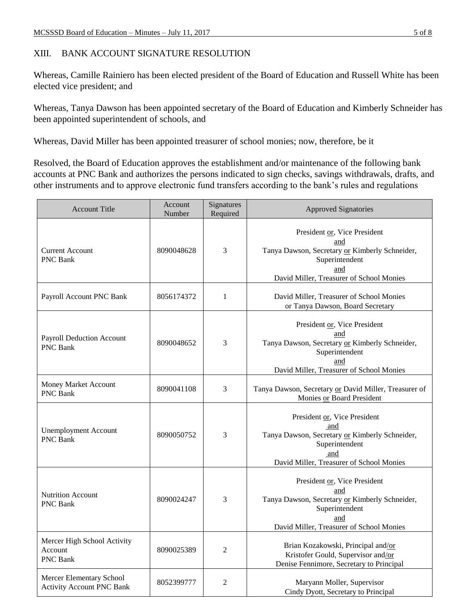# XIII. BANK ACCOUNT SIGNATURE RESOLUTION

Whereas, Camille Rainiero has been elected president of the Board of Education and Russell White has been elected vice president; and

Whereas, Tanya Dawson has been appointed secretary of the Board of Education and Kimberly Schneider has been appointed superintendent of schools, and

Whereas, David Miller has been appointed treasurer of school monies; now, therefore, be it

Resolved, the Board of Education approves the establishment and/or maintenance of the following bank accounts at PNC Bank and authorizes the persons indicated to sign checks, savings withdrawals, drafts, and other instruments and to approve electronic fund transfers according to the bank's rules and regulations

| <b>Account Title</b>                                         | Account<br>Number | Signatures<br>Required | <b>Approved Signatories</b>                                                                                                                                |
|--------------------------------------------------------------|-------------------|------------------------|------------------------------------------------------------------------------------------------------------------------------------------------------------|
| <b>Current Account</b><br><b>PNC Bank</b>                    | 8090048628        | 3                      | President or, Vice President<br>and<br>Tanya Dawson, Secretary or Kimberly Schneider,<br>Superintendent<br>and<br>David Miller, Treasurer of School Monies |
| Payroll Account PNC Bank                                     | 8056174372        | $\mathbf{1}$           | David Miller, Treasurer of School Monies<br>or Tanya Dawson, Board Secretary                                                                               |
| <b>Payroll Deduction Account</b><br><b>PNC Bank</b>          | 8090048652        | 3                      | President or, Vice President<br>and<br>Tanya Dawson, Secretary or Kimberly Schneider,<br>Superintendent<br>and<br>David Miller, Treasurer of School Monies |
| Money Market Account<br><b>PNC Bank</b>                      | 8090041108        | 3                      | Tanya Dawson, Secretary or David Miller, Treasurer of<br>Monies or Board President                                                                         |
| <b>Unemployment Account</b><br><b>PNC Bank</b>               | 8090050752        | 3                      | President or, Vice President<br>and<br>Tanya Dawson, Secretary or Kimberly Schneider,<br>Superintendent<br>and<br>David Miller, Treasurer of School Monies |
| <b>Nutrition Account</b><br><b>PNC Bank</b>                  | 8090024247        | 3                      | President or, Vice President<br>and<br>Tanya Dawson, Secretary or Kimberly Schneider,<br>Superintendent<br>and<br>David Miller, Treasurer of School Monies |
| Mercer High School Activity<br>Account<br>PNC Bank           | 8090025389        | $\overline{2}$         | Brian Kozakowski, Principal and/or<br>Kristofer Gould, Supervisor and/or<br>Denise Fennimore, Secretary to Principal                                       |
| Mercer Elementary School<br><b>Activity Account PNC Bank</b> | 8052399777        | $\overline{c}$         | Maryann Moller, Supervisor<br>Cindy Dyott, Secretary to Principal                                                                                          |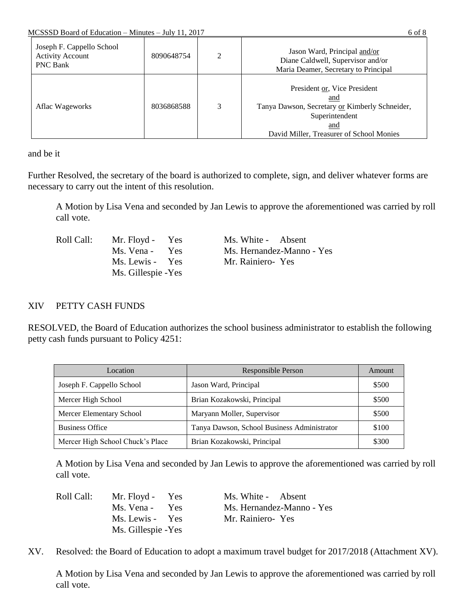| Joseph F. Cappello School<br><b>Activity Account</b><br><b>PNC Bank</b> | 8090648754 | ↑ | Jason Ward, Principal and/or<br>Diane Caldwell, Supervisor and/or<br>Maria Deamer, Secretary to Principal                                                  |
|-------------------------------------------------------------------------|------------|---|------------------------------------------------------------------------------------------------------------------------------------------------------------|
| Aflac Wageworks                                                         | 8036868588 | 3 | President or, Vice President<br>and<br>Tanya Dawson, Secretary or Kimberly Schneider,<br>Superintendent<br>and<br>David Miller, Treasurer of School Monies |

and be it

Further Resolved, the secretary of the board is authorized to complete, sign, and deliver whatever forms are necessary to carry out the intent of this resolution.

A Motion by Lisa Vena and seconded by Jan Lewis to approve the aforementioned was carried by roll call vote.

| Roll Call: | Mr. Floyd - Yes     | Ms. White - Absent        |
|------------|---------------------|---------------------------|
|            | Ms. Vena - Yes      | Ms. Hernandez-Manno - Yes |
|            | Ms. Lewis - Yes     | Mr. Rainiero-Yes          |
|            | Ms. Gillespie - Yes |                           |

# XIV PETTY CASH FUNDS

RESOLVED, the Board of Education authorizes the school business administrator to establish the following petty cash funds pursuant to Policy 4251:

| Location                         | Responsible Person                          | Amount |
|----------------------------------|---------------------------------------------|--------|
| Joseph F. Cappello School        | Jason Ward, Principal                       | \$500  |
| Mercer High School               | Brian Kozakowski, Principal                 | \$500  |
| Mercer Elementary School         | Maryann Moller, Supervisor                  | \$500  |
| <b>Business Office</b>           | Tanya Dawson, School Business Administrator | \$100  |
| Mercer High School Chuck's Place | Brian Kozakowski, Principal                 | \$300  |

A Motion by Lisa Vena and seconded by Jan Lewis to approve the aforementioned was carried by roll call vote.

| Roll Call: | Mr. Floyd - Yes     | Ms. White - Absent        |
|------------|---------------------|---------------------------|
|            | Ms. Vena - Yes      | Ms. Hernandez-Manno - Yes |
|            | Ms. Lewis - Yes     | Mr. Rainiero-Yes          |
|            | Ms. Gillespie - Yes |                           |

XV. Resolved: the Board of Education to adopt a maximum travel budget for 2017/2018 (Attachment XV).

A Motion by Lisa Vena and seconded by Jan Lewis to approve the aforementioned was carried by roll call vote.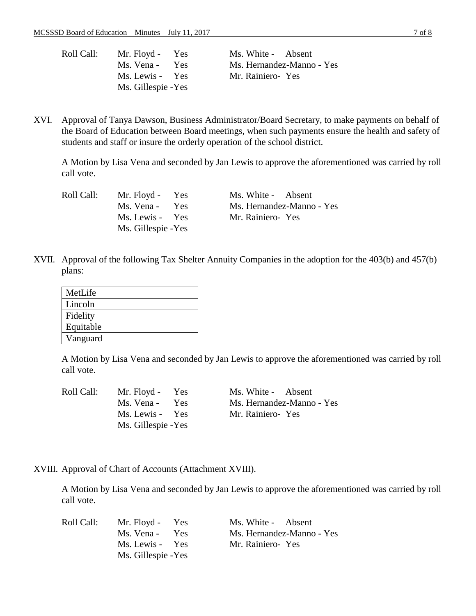| Roll Call: | Mr. Floyd - Yes     | Ms. White - Absent        |
|------------|---------------------|---------------------------|
|            | Ms. Vena - Yes      | Ms. Hernandez-Manno - Yes |
|            | Ms. Lewis - Yes     | Mr. Rainiero-Yes          |
|            | Ms. Gillespie - Yes |                           |

XVI. Approval of Tanya Dawson, Business Administrator/Board Secretary, to make payments on behalf of the Board of Education between Board meetings, when such payments ensure the health and safety of students and staff or insure the orderly operation of the school district.

A Motion by Lisa Vena and seconded by Jan Lewis to approve the aforementioned was carried by roll call vote.

| Roll Call: | Mr. Floyd - Yes     | Ms. White - Absent        |
|------------|---------------------|---------------------------|
|            | Ms. Vena - Yes      | Ms. Hernandez-Manno - Yes |
|            | Ms. Lewis - Yes     | Mr. Rainiero-Yes          |
|            | Ms. Gillespie - Yes |                           |

XVII. Approval of the following Tax Shelter Annuity Companies in the adoption for the 403(b) and 457(b) plans:

| MetLife   |
|-----------|
| Lincoln   |
| Fidelity  |
| Equitable |
| Vanguard  |
|           |

A Motion by Lisa Vena and seconded by Jan Lewis to approve the aforementioned was carried by roll call vote.

| Roll Call: | Mr. Floyd - Yes     | Ms. White - Absent        |
|------------|---------------------|---------------------------|
|            | Ms. Vena - Yes      | Ms. Hernandez-Manno - Yes |
|            | Ms. Lewis - Yes     | Mr. Rainiero-Yes          |
|            | Ms. Gillespie - Yes |                           |

XVIII. Approval of Chart of Accounts (Attachment XVIII).

A Motion by Lisa Vena and seconded by Jan Lewis to approve the aforementioned was carried by roll call vote.

| Roll Call: | Mr. Floyd - Yes     | Ms. White - Absent        |
|------------|---------------------|---------------------------|
|            | Ms. Vena - Yes      | Ms. Hernandez-Manno - Yes |
|            | Ms. Lewis - Yes     | Mr. Rainiero-Yes          |
|            | Ms. Gillespie - Yes |                           |